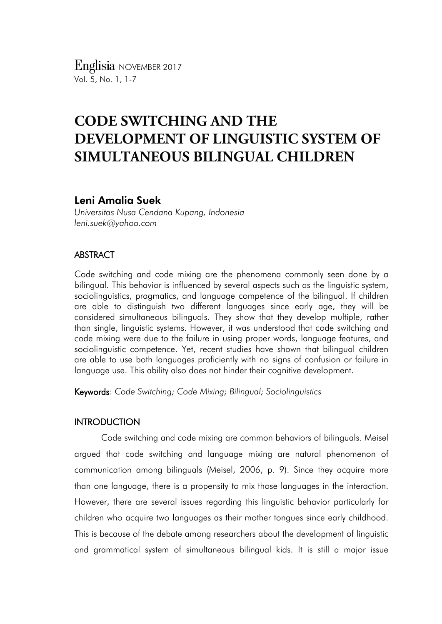*Englisia* NOVEMBER <sup>2017</sup> Vol. 5, No. 1, 1-7

# **CODE SWITCHING AND THE DEVELOPMENT OF LINGUISTIC SYSTEM OF SIMULTANEOUS BILINGUAL CHILDREN**

# Leni Amalia Suek

*Universitas Nusa Cendana Kupang, Indonesia leni.suek@yahoo.com*

# ABSTRACT

Code switching and code mixing are the phenomena commonly seen done by a bilingual. This behavior is influenced by several aspects such as the linguistic system, sociolinguistics, pragmatics, and language competence of the bilingual. If children are able to distinguish two different languages since early age, they will be considered simultaneous bilinguals. They show that they develop multiple, rather than single, linguistic systems. However, it was understood that code switching and code mixing were due to the failure in using proper words, language features, and sociolinguistic competence. Yet, recent studies have shown that bilingual children are able to use both languages proficiently with no signs of confusion or failure in language use. This ability also does not hinder their cognitive development.

Keywords: *Code Switching; Code Mixing; Bilingual; Sociolinguistics*

# **INTRODUCTION**

Code switching and code mixing are common behaviors of bilinguals. Meisel argued that code switching and language mixing are natural phenomenon of communication among bilinguals (Meisel, 2006, p. 9). Since they acquire more than one language, there is a propensity to mix those languages in the interaction. However, there are several issues regarding this linguistic behavior particularly for children who acquire two languages as their mother tongues since early childhood. This is because of the debate among researchers about the development of linguistic and grammatical system of simultaneous bilingual kids. It is still a major issue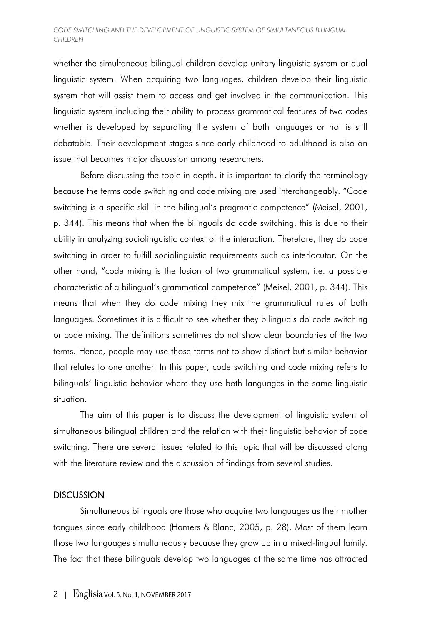### *CODE SWITCHING AND THE DEVELOPMENT OF LINGUISTIC SYSTEM OF SIMULTANEOUS BILINGUAL CHILDREN*

whether the simultaneous bilingual children develop unitary linguistic system or dual linguistic system. When acquiring two languages, children develop their linguistic system that will assist them to access and get involved in the communication. This linguistic system including their ability to process grammatical features of two codes whether is developed by separating the system of both languages or not is still debatable. Their development stages since early childhood to adulthood is also an issue that becomes major discussion among researchers.

Before discussing the topic in depth, it is important to clarify the terminology because the terms code switching and code mixing are used interchangeably. "Code switching is a specific skill in the bilingual's pragmatic competence" (Meisel, 2001, p. 344). This means that when the bilinguals do code switching, this is due to their ability in analyzing sociolinguistic context of the interaction. Therefore, they do code switching in order to fulfill sociolinguistic requirements such as interlocutor. On the other hand, "code mixing is the fusion of two grammatical system, i.e. a possible characteristic of a bilingual's grammatical competence" (Meisel, 2001, p. 344). This means that when they do code mixing they mix the grammatical rules of both languages. Sometimes it is difficult to see whether they bilinguals do code switching or code mixing. The definitions sometimes do not show clear boundaries of the two terms. Hence, people may use those terms not to show distinct but similar behavior that relates to one another. In this paper, code switching and code mixing refers to bilinguals' linguistic behavior where they use both languages in the same linguistic situation.

The aim of this paper is to discuss the development of linguistic system of simultaneous bilingual children and the relation with their linguistic behavior of code switching. There are several issues related to this topic that will be discussed along with the literature review and the discussion of findings from several studies.

## **DISCUSSION**

Simultaneous bilinguals are those who acquire two languages as their mother tongues since early childhood (Hamers & Blanc, 2005, p. 28). Most of them learn those two languages simultaneously because they grow up in a mixed-lingual family. The fact that these bilinguals develop two languages at the same time has attracted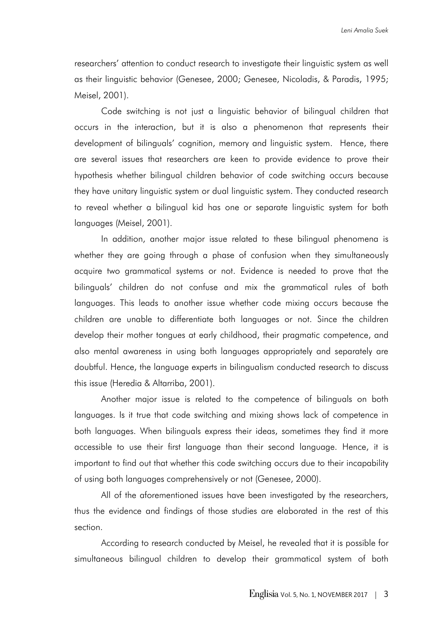researchers' attention to conduct research to investigate their linguistic system as well as their linguistic behavior (Genesee, 2000; Genesee, Nicoladis, & Paradis, 1995; Meisel, 2001).

Code switching is not just a linguistic behavior of bilingual children that occurs in the interaction, but it is also a phenomenon that represents their development of bilinguals' cognition, memory and linguistic system. Hence, there are several issues that researchers are keen to provide evidence to prove their hypothesis whether bilingual children behavior of code switching occurs because they have unitary linguistic system or dual linguistic system. They conducted research to reveal whether a bilingual kid has one or separate linguistic system for both languages (Meisel, 2001).

In addition, another major issue related to these bilingual phenomena is whether they are going through a phase of confusion when they simultaneously acquire two grammatical systems or not. Evidence is needed to prove that the bilinguals' children do not confuse and mix the grammatical rules of both languages. This leads to another issue whether code mixing occurs because the children are unable to differentiate both languages or not. Since the children develop their mother tongues at early childhood, their pragmatic competence, and also mental awareness in using both languages appropriately and separately are doubtful. Hence, the language experts in bilingualism conducted research to discuss this issue (Heredia & Altarriba, 2001).

Another major issue is related to the competence of bilinguals on both languages. Is it true that code switching and mixing shows lack of competence in both languages. When bilinguals express their ideas, sometimes they find it more accessible to use their first language than their second language. Hence, it is important to find out that whether this code switching occurs due to their incapability of using both languages comprehensively or not (Genesee, 2000).

All of the aforementioned issues have been investigated by the researchers, thus the evidence and findings of those studies are elaborated in the rest of this section.

According to research conducted by Meisel, he revealed that it is possible for simultaneous bilingual children to develop their grammatical system of both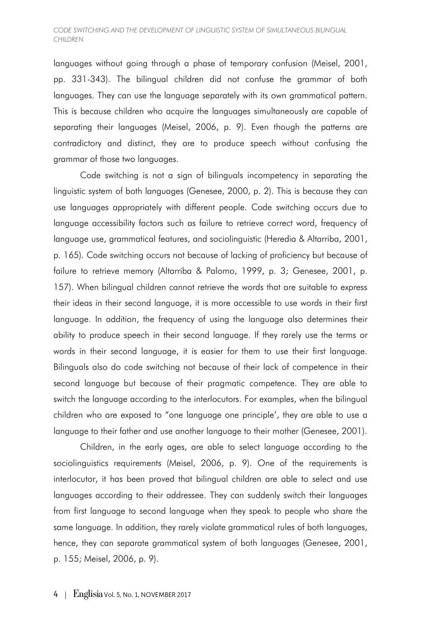#### *CODE SWITCHING AND THE DEVELOPMENT OF LINGUISTIC SYSTEM OF SIMULTANEOUS BILINGUAL CHILDREN*

languages without going through a phase of temporary confusion (Meisel, 2001, pp. 331-343). The bilingual children did not confuse the grammar of both languages. They can use the language separately with its own grammatical pattern. This is because children who acquire the languages simultaneously are capable of separating their languages (Meisel, 2006, p. 9). Even though the patterns are contradictory and distinct, they are to produce speech without confusing the grammar of those two languages.

Code switching is not a sign of bilinguals incompetency in separating the linguistic system of both languages (Genesee, 2000, p. 2). This is because they can use languages appropriately with different people. Code switching occurs due to language accessibility factors such as failure to retrieve correct word, frequency of language use, grammatical features, and sociolinguistic (Heredia & Altarriba, 2001, p. 165). Code switching occurs not because of lacking of proficiency but because of failure to retrieve memory (Altarriba & Palomo, 1999, p. 3; Genesee, 2001, p. 157). When bilingual children cannot retrieve the words that are suitable to express their ideas in their second language, it is more accessible to use words in their first language. In addition, the frequency of using the language also determines their ability to produce speech in their second language. If they rarely use the terms or words in their second language, it is easier for them to use their first language. Bilinguals also do code switching not because of their lack of competence in their second language but because of their pragmatic competence. They are able to switch the language according to the interlocutors. For examples, when the bilingual children who are exposed to "one language one principle', they are able to use a language to their father and use another language to their mother (Genesee, 2001).

Children, in the early ages, are able to select language according to the sociolinguistics requirements (Meisel, 2006, p. 9). One of the requirements is interlocutor, it has been proved that bilingual children are able to select and use languages according to their addressee. They can suddenly switch their languages from first language to second language when they speak to people who share the same language. In addition, they rarely violate grammatical rules of both languages, hence, they can separate grammatical system of both languages (Genesee, 2001, p. 155; Meisel, 2006, p. 9).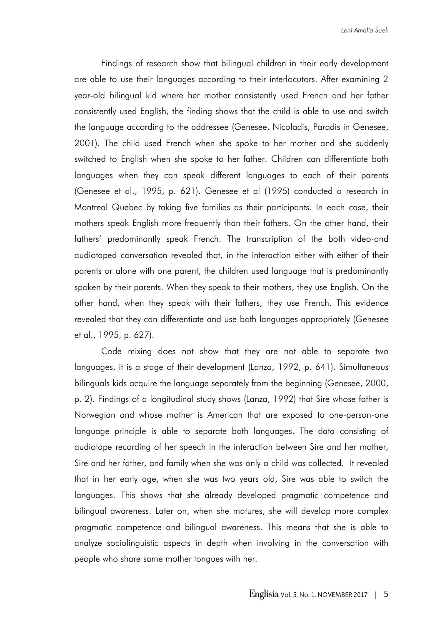Findings of research show that bilingual children in their early development are able to use their languages according to their interlocutors. After examining 2 year-old bilingual kid where her mother consistently used French and her father consistently used English, the finding shows that the child is able to use and switch the language according to the addressee (Genesee, Nicoladis, Paradis in Genesee, 2001). The child used French when she spoke to her mother and she suddenly switched to English when she spoke to her father. Children can differentiate both languages when they can speak different languages to each of their parents (Genesee et al., 1995, p. 621). Genesee et al (1995) conducted a research in Montreal Quebec by taking five families as their participants. In each case, their mothers speak English more frequently than their fathers. On the other hand, their fathers' predominantly speak French. The transcription of the both video-and audiotaped conversation revealed that, in the interaction either with either of their parents or alone with one parent, the children used language that is predominantly spoken by their parents. When they speak to their mothers, they use English. On the other hand, when they speak with their fathers, they use French. This evidence revealed that they can differentiate and use both languages appropriately (Genesee et al., 1995, p. 627).

Code mixing does not show that they are not able to separate two languages, it is a stage of their development (Lanza, 1992, p. 641). Simultaneous bilinguals kids acquire the language separately from the beginning (Genesee, 2000, p. 2). Findings of a longitudinal study shows (Lanza, 1992) that Sire whose father is Norwegian and whose mother is American that are exposed to one-person-one language principle is able to separate both languages. The data consisting of audiotape recording of her speech in the interaction between Sire and her mother, Sire and her father, and family when she was only a child was collected. It revealed that in her early age, when she was two years old, Sire was able to switch the languages. This shows that she already developed pragmatic competence and bilingual awareness. Later on, when she matures, she will develop more complex pragmatic competence and bilingual awareness. This means that she is able to analyze sociolinguistic aspects in depth when involving in the conversation with people who share same mother tongues with her.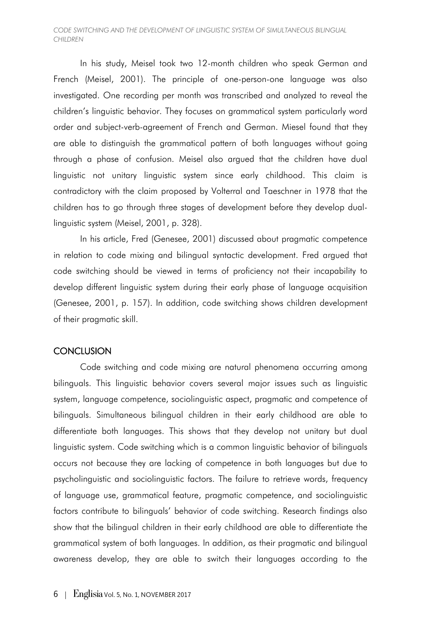### *CODE SWITCHING AND THE DEVELOPMENT OF LINGUISTIC SYSTEM OF SIMULTANEOUS BILINGUAL CHILDREN*

In his study, Meisel took two 12-month children who speak German and French (Meisel, 2001). The principle of one-person-one language was also investigated. One recording per month was transcribed and analyzed to reveal the children's linguistic behavior. They focuses on grammatical system particularly word order and subject-verb-agreement of French and German. Miesel found that they are able to distinguish the grammatical pattern of both languages without going through a phase of confusion. Meisel also argued that the children have dual linguistic not unitary linguistic system since early childhood. This claim is contradictory with the claim proposed by Volterral and Taeschner in 1978 that the children has to go through three stages of development before they develop duallinguistic system (Meisel, 2001, p. 328).

In his article, Fred (Genesee, 2001) discussed about pragmatic competence in relation to code mixing and bilingual syntactic development. Fred argued that code switching should be viewed in terms of proficiency not their incapability to develop different linguistic system during their early phase of language acquisition (Genesee, 2001, p. 157). In addition, code switching shows children development of their pragmatic skill.

# **CONCLUSION**

Code switching and code mixing are natural phenomena occurring among bilinguals. This linguistic behavior covers several major issues such as linguistic system, language competence, sociolinguistic aspect, pragmatic and competence of bilinguals. Simultaneous bilingual children in their early childhood are able to differentiate both languages. This shows that they develop not unitary but dual linguistic system. Code switching which is a common linguistic behavior of bilinguals occurs not because they are lacking of competence in both languages but due to psycholinguistic and sociolinguistic factors. The failure to retrieve words, frequency of language use, grammatical feature, pragmatic competence, and sociolinguistic factors contribute to bilinguals' behavior of code switching. Research findings also show that the bilingual children in their early childhood are able to differentiate the grammatical system of both languages. In addition, as their pragmatic and bilingual awareness develop, they are able to switch their languages according to the